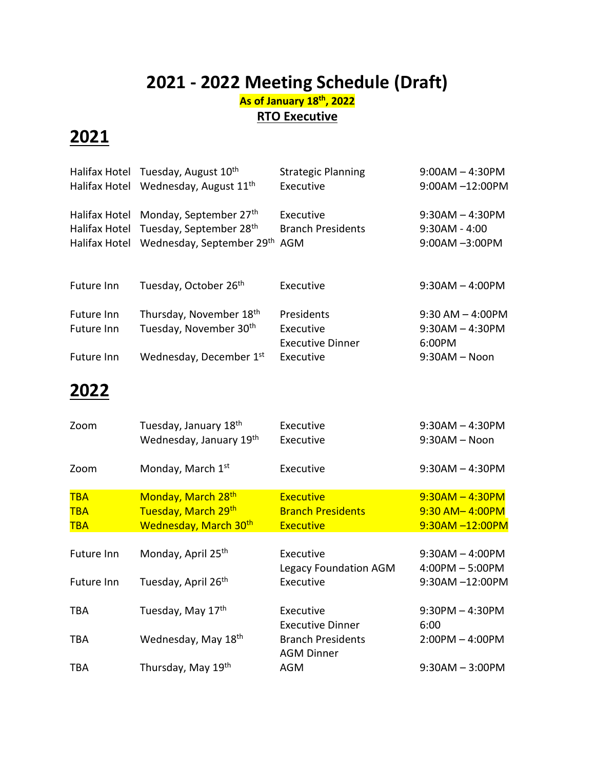# **2021 - 2022 Meeting Schedule (Draft)**

#### **As of January 18 th, 2022 RTO Executive**

## **2021**

|            | Halifax Hotel Tuesday, August 10 <sup>th</sup>   | <b>Strategic Planning</b> | $9:00AM - 4:30PM$    |
|------------|--------------------------------------------------|---------------------------|----------------------|
|            | Halifax Hotel Wednesday, August 11 <sup>th</sup> | Executive                 | $9:00AM - 12:00PM$   |
|            | Halifax Hotel Monday, September 27th             | Executive                 | $9:30AM - 4:30PM$    |
|            | Halifax Hotel Tuesday, September 28th            | <b>Branch Presidents</b>  | $9:30AM - 4:00$      |
|            | Halifax Hotel Wednesday, September 29th AGM      |                           | 9:00AM -3:00PM       |
| Future Inn | Tuesday, October 26th                            | Executive                 | $9:30AM - 4:00PM$    |
| Future Inn | Thursday, November 18th                          | Presidents                | $9:30$ AM $-$ 4:00PM |
| Future Inn | Tuesday, November 30 <sup>th</sup>               | Executive                 | $9:30AM - 4:30PM$    |
|            |                                                  | <b>Executive Dinner</b>   | 6:00PM               |
| Future Inn | Wednesday, December 1st                          | Executive                 | $9:30AM - Noon$      |
|            |                                                  |                           |                      |

### **2022**

| Zoom       | Tuesday, January 18th<br>Wednesday, January 19th | Executive<br>Executive                        | $9:30AM - 4:30PM$<br>$9:30AM - Noon$ |
|------------|--------------------------------------------------|-----------------------------------------------|--------------------------------------|
| Zoom       | Monday, March 1st                                | Executive                                     | $9:30AM - 4:30PM$                    |
| <b>TBA</b> | Monday, March 28 <sup>th</sup>                   | <b>Executive</b>                              | $9:30AM - 4:30PM$                    |
| <b>TBA</b> | Tuesday, March 29th                              | <b>Branch Presidents</b>                      | 9:30 AM-4:00PM                       |
| <b>TBA</b> | Wednesday, March 30th                            | <b>Executive</b>                              | 9:30AM -12:00PM                      |
|            |                                                  |                                               |                                      |
| Future Inn | Monday, April 25 <sup>th</sup>                   | Executive                                     | $9:30AM - 4:00PM$                    |
|            |                                                  | Legacy Foundation AGM                         | $4:00PM - 5:00PM$                    |
| Future Inn | Tuesday, April 26 <sup>th</sup>                  | Executive                                     | 9:30AM -12:00PM                      |
|            |                                                  |                                               |                                      |
| TBA        | Tuesday, May 17th                                | Executive                                     | $9:30PM - 4:30PM$                    |
|            |                                                  | <b>Executive Dinner</b>                       | 6:00                                 |
| TBA        | Wednesday, May 18th                              | <b>Branch Presidents</b><br><b>AGM Dinner</b> | $2:00PM - 4:00PM$                    |
| <b>TBA</b> | Thursday, May 19th                               | <b>AGM</b>                                    | $9:30AM - 3:00PM$                    |
|            |                                                  |                                               |                                      |